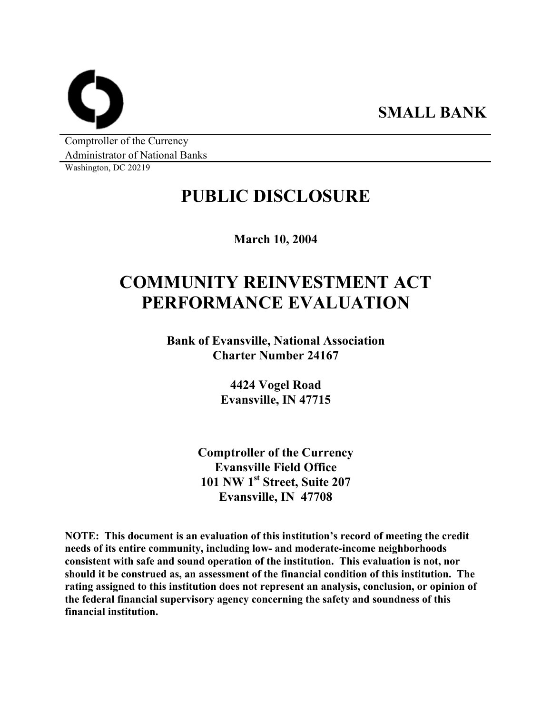**SMALL BANK** 

Comptroller of the Currency Administrator of National Banks

Washington, DC 20219

## **PUBLIC DISCLOSURE**

**March 10, 2004** 

# **COMMUNITY REINVESTMENT ACT PERFORMANCE EVALUATION**

**Bank of Evansville, National Association Charter Number 24167** 

> **4424 Vogel Road Evansville, IN 47715**

**Comptroller of the Currency Evansville Field Office 101 NW 1st Street, Suite 207 Evansville, IN 47708** 

**NOTE: This document is an evaluation of this institution's record of meeting the credit needs of its entire community, including low- and moderate-income neighborhoods consistent with safe and sound operation of the institution. This evaluation is not, nor should it be construed as, an assessment of the financial condition of this institution. The rating assigned to this institution does not represent an analysis, conclusion, or opinion of the federal financial supervisory agency concerning the safety and soundness of this financial institution.**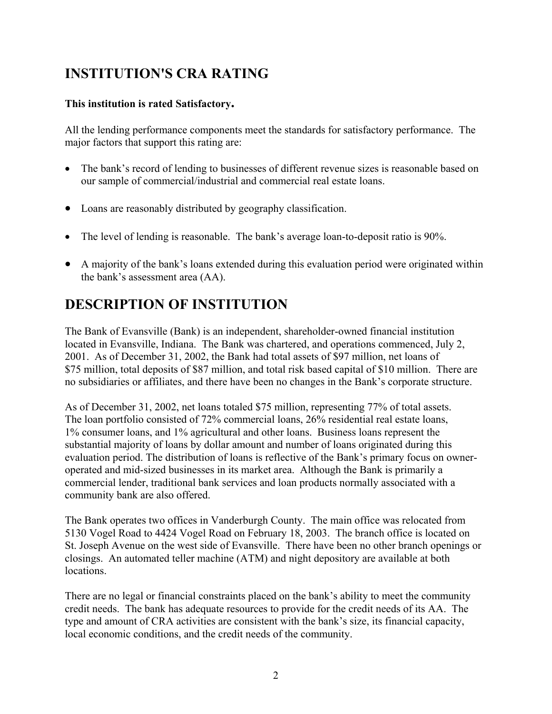## **INSTITUTION'S CRA RATING**

#### **This institution is rated Satisfactory.**

All the lending performance components meet the standards for satisfactory performance. The major factors that support this rating are:

- The bank's record of lending to businesses of different revenue sizes is reasonable based on our sample of commercial/industrial and commercial real estate loans.
- Loans are reasonably distributed by geography classification.
- The level of lending is reasonable. The bank's average loan-to-deposit ratio is 90%.
- A majority of the bank's loans extended during this evaluation period were originated within the bank's assessment area (AA).

## **DESCRIPTION OF INSTITUTION**

The Bank of Evansville (Bank) is an independent, shareholder-owned financial institution located in Evansville, Indiana. The Bank was chartered, and operations commenced, July 2, 2001. As of December 31, 2002, the Bank had total assets of \$97 million, net loans of \$75 million, total deposits of \$87 million, and total risk based capital of \$10 million. There are no subsidiaries or affiliates, and there have been no changes in the Bank's corporate structure.

As of December 31, 2002, net loans totaled \$75 million, representing 77% of total assets. The loan portfolio consisted of 72% commercial loans, 26% residential real estate loans, 1% consumer loans, and 1% agricultural and other loans. Business loans represent the substantial majority of loans by dollar amount and number of loans originated during this evaluation period. The distribution of loans is reflective of the Bank's primary focus on owneroperated and mid-sized businesses in its market area. Although the Bank is primarily a commercial lender, traditional bank services and loan products normally associated with a community bank are also offered.

The Bank operates two offices in Vanderburgh County. The main office was relocated from 5130 Vogel Road to 4424 Vogel Road on February 18, 2003. The branch office is located on St. Joseph Avenue on the west side of Evansville. There have been no other branch openings or closings. An automated teller machine (ATM) and night depository are available at both locations.

There are no legal or financial constraints placed on the bank's ability to meet the community credit needs. The bank has adequate resources to provide for the credit needs of its AA. The type and amount of CRA activities are consistent with the bank's size, its financial capacity, local economic conditions, and the credit needs of the community.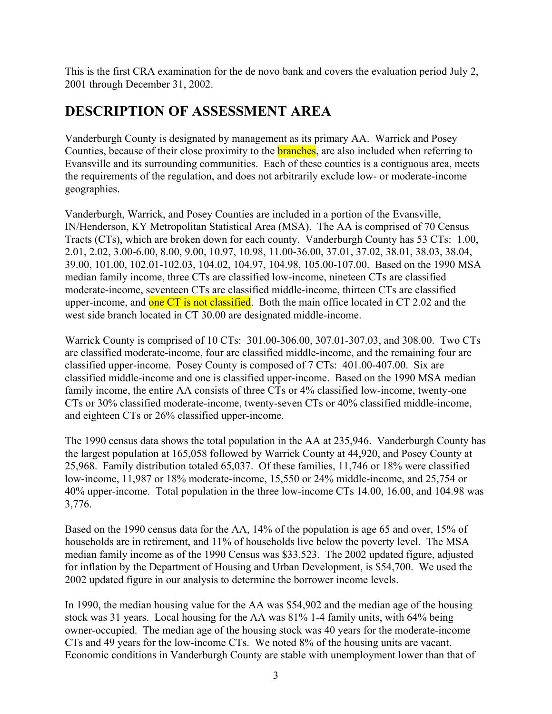This is the first CRA examination for the de novo bank and covers the evaluation period July 2, 2001 through December 31, 2002.

### **DESCRIPTION OF ASSESSMENT AREA**

Vanderburgh County is designated by management as its primary AA. Warrick and Posey Counties, because of their close proximity to the **branches**, are also included when referring to Evansville and its surrounding communities. Each of these counties is a contiguous area, meets the requirements of the regulation, and does not arbitrarily exclude low- or moderate-income geographies.

Vanderburgh, Warrick, and Posey Counties are included in a portion of the Evansville, IN/Henderson, KY Metropolitan Statistical Area (MSA). The AA is comprised of 70 Census Tracts (CTs), which are broken down for each county. Vanderburgh County has 53 CTs: 1.00, 2.01, 2.02, 3.00-6.00, 8.00, 9.00, 10.97, 10.98, 11.00-36.00, 37.01, 37.02, 38.01, 38.03, 38.04, 39.00, 101.00, 102.01-102.03, 104.02, 104.97, 104.98, 105.00-107.00. Based on the 1990 MSA median family income, three CTs are classified low-income, nineteen CTs are classified moderate-income, seventeen CTs are classified middle-income, thirteen CTs are classified upper-income, and one CT is not classified. Both the main office located in CT 2.02 and the west side branch located in CT 30.00 are designated middle-income.

Warrick County is comprised of 10 CTs: 301.00-306.00, 307.01-307.03, and 308.00. Two CTs are classified moderate-income, four are classified middle-income, and the remaining four are classified upper-income. Posey County is composed of 7 CTs: 401.00-407.00. Six are classified middle-income and one is classified upper-income. Based on the 1990 MSA median family income, the entire AA consists of three CTs or 4% classified low-income, twenty-one CTs or 30% classified moderate-income, twenty-seven CTs or 40% classified middle-income, and eighteen CTs or 26% classified upper-income.

The 1990 census data shows the total population in the AA at 235,946. Vanderburgh County has the largest population at 165,058 followed by Warrick County at 44,920, and Posey County at 25,968. Family distribution totaled 65,037. Of these families, 11,746 or 18% were classified low-income, 11,987 or 18% moderate-income, 15,550 or 24% middle-income, and 25,754 or 40% upper-income. Total population in the three low-income CTs 14.00, 16.00, and 104.98 was 3,776.

Based on the 1990 census data for the AA, 14% of the population is age 65 and over, 15% of households are in retirement, and 11% of households live below the poverty level. The MSA median family income as of the 1990 Census was \$33,523. The 2002 updated figure, adjusted for inflation by the Department of Housing and Urban Development, is \$54,700. We used the 2002 updated figure in our analysis to determine the borrower income levels.

In 1990, the median housing value for the AA was \$54,902 and the median age of the housing stock was 31 years. Local housing for the AA was 81% 1-4 family units, with 64% being owner-occupied. The median age of the housing stock was 40 years for the moderate-income CTs and 49 years for the low-income CTs. We noted 8% of the housing units are vacant. Economic conditions in Vanderburgh County are stable with unemployment lower than that of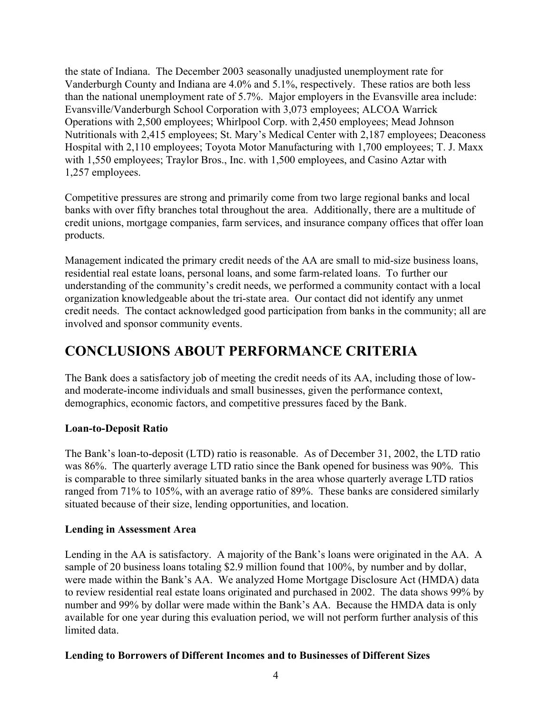the state of Indiana. The December 2003 seasonally unadjusted unemployment rate for Vanderburgh County and Indiana are 4.0% and 5.1%, respectively. These ratios are both less than the national unemployment rate of 5.7%. Major employers in the Evansville area include: Evansville/Vanderburgh School Corporation with 3,073 employees; ALCOA Warrick Operations with 2,500 employees; Whirlpool Corp. with 2,450 employees; Mead Johnson Nutritionals with 2,415 employees; St. Mary's Medical Center with 2,187 employees; Deaconess Hospital with 2,110 employees; Toyota Motor Manufacturing with 1,700 employees; T. J. Maxx with 1,550 employees; Traylor Bros., Inc. with 1,500 employees, and Casino Aztar with 1,257 employees.

Competitive pressures are strong and primarily come from two large regional banks and local banks with over fifty branches total throughout the area. Additionally, there are a multitude of credit unions, mortgage companies, farm services, and insurance company offices that offer loan products.

Management indicated the primary credit needs of the AA are small to mid-size business loans, residential real estate loans, personal loans, and some farm-related loans. To further our understanding of the community's credit needs, we performed a community contact with a local organization knowledgeable about the tri-state area. Our contact did not identify any unmet credit needs. The contact acknowledged good participation from banks in the community; all are involved and sponsor community events.

### **CONCLUSIONS ABOUT PERFORMANCE CRITERIA**

The Bank does a satisfactory job of meeting the credit needs of its AA, including those of lowand moderate-income individuals and small businesses, given the performance context, demographics, economic factors, and competitive pressures faced by the Bank.

#### **Loan-to-Deposit Ratio**

The Bank's loan-to-deposit (LTD) ratio is reasonable. As of December 31, 2002, the LTD ratio was 86%. The quarterly average LTD ratio since the Bank opened for business was 90%. This is comparable to three similarly situated banks in the area whose quarterly average LTD ratios ranged from 71% to 105%, with an average ratio of 89%. These banks are considered similarly situated because of their size, lending opportunities, and location.

#### **Lending in Assessment Area**

Lending in the AA is satisfactory. A majority of the Bank's loans were originated in the AA. A sample of 20 business loans totaling \$2.9 million found that 100%, by number and by dollar, were made within the Bank's AA. We analyzed Home Mortgage Disclosure Act (HMDA) data to review residential real estate loans originated and purchased in 2002. The data shows 99% by number and 99% by dollar were made within the Bank's AA. Because the HMDA data is only available for one year during this evaluation period, we will not perform further analysis of this limited data.

#### **Lending to Borrowers of Different Incomes and to Businesses of Different Sizes**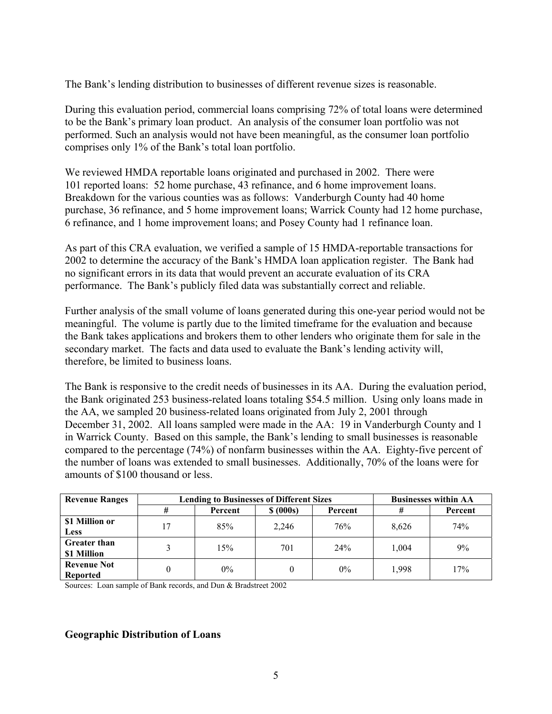The Bank's lending distribution to businesses of different revenue sizes is reasonable.

During this evaluation period, commercial loans comprising 72% of total loans were determined to be the Bank's primary loan product. An analysis of the consumer loan portfolio was not performed. Such an analysis would not have been meaningful, as the consumer loan portfolio comprises only 1% of the Bank's total loan portfolio.

We reviewed HMDA reportable loans originated and purchased in 2002. There were 101 reported loans: 52 home purchase, 43 refinance, and 6 home improvement loans. Breakdown for the various counties was as follows: Vanderburgh County had 40 home purchase, 36 refinance, and 5 home improvement loans; Warrick County had 12 home purchase, 6 refinance, and 1 home improvement loans; and Posey County had 1 refinance loan.

As part of this CRA evaluation, we verified a sample of 15 HMDA-reportable transactions for 2002 to determine the accuracy of the Bank's HMDA loan application register. The Bank had no significant errors in its data that would prevent an accurate evaluation of its CRA performance. The Bank's publicly filed data was substantially correct and reliable.

Further analysis of the small volume of loans generated during this one-year period would not be meaningful. The volume is partly due to the limited timeframe for the evaluation and because the Bank takes applications and brokers them to other lenders who originate them for sale in the secondary market. The facts and data used to evaluate the Bank's lending activity will, therefore, be limited to business loans.

The Bank is responsive to the credit needs of businesses in its AA. During the evaluation period, the Bank originated 253 business-related loans totaling \$54.5 million. Using only loans made in the AA, we sampled 20 business-related loans originated from July 2, 2001 through December 31, 2002. All loans sampled were made in the AA: 19 in Vanderburgh County and 1 in Warrick County. Based on this sample, the Bank's lending to small businesses is reasonable compared to the percentage (74%) of nonfarm businesses within the AA. Eighty-five percent of the number of loans was extended to small businesses. Additionally, 70% of the loans were for amounts of \$100 thousand or less.

| <b>Revenue Ranges</b>              | <b>Lending to Businesses of Different Sizes</b> |         |           |         | <b>Businesses within AA</b> |         |
|------------------------------------|-------------------------------------------------|---------|-----------|---------|-----------------------------|---------|
|                                    | #                                               | Percent | \$ (000s) | Percent |                             | Percent |
| \$1 Million or<br><b>Less</b>      | 17                                              | 85%     | 2,246     | 76%     | 8.626                       | 74%     |
| <b>Greater than</b><br>\$1 Million | 3                                               | 15%     | 701       | 24%     | 1,004                       | 9%      |
| <b>Revenue Not</b><br>Reported     | $\theta$                                        | $0\%$   |           | $0\%$   | 1.998                       | 17%     |

Sources: Loan sample of Bank records, and Dun & Bradstreet 2002

#### **Geographic Distribution of Loans**